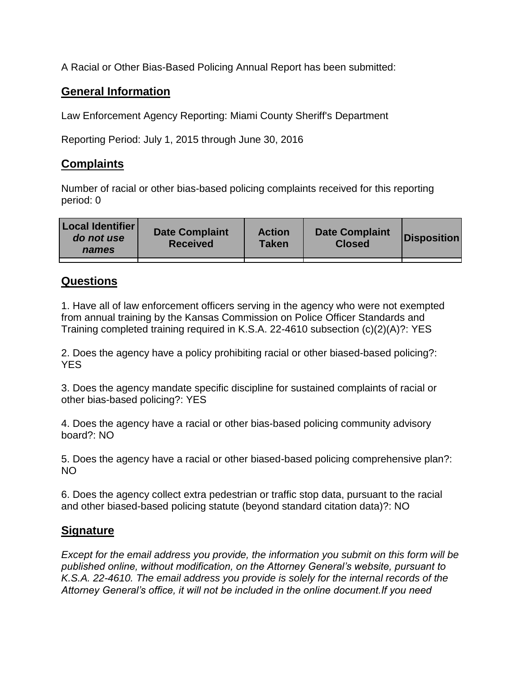A Racial or Other Bias-Based Policing Annual Report has been submitted:

## **General Information**

Law Enforcement Agency Reporting: Miami County Sheriff's Department

Reporting Period: July 1, 2015 through June 30, 2016

## **Complaints**

Number of racial or other bias-based policing complaints received for this reporting period: 0

| <b>Local Identifier</b><br>do not use<br>names | <b>Date Complaint</b><br><b>Received</b> | <b>Action</b><br><b>Taken</b> | <b>Date Complaint</b><br><b>Closed</b> | Disposition |
|------------------------------------------------|------------------------------------------|-------------------------------|----------------------------------------|-------------|
|                                                |                                          |                               |                                        |             |

## **Questions**

1. Have all of law enforcement officers serving in the agency who were not exempted from annual training by the Kansas Commission on Police Officer Standards and Training completed training required in K.S.A. 22-4610 subsection (c)(2)(A)?: YES

2. Does the agency have a policy prohibiting racial or other biased-based policing?: YES

3. Does the agency mandate specific discipline for sustained complaints of racial or other bias-based policing?: YES

4. Does the agency have a racial or other bias-based policing community advisory board?: NO

5. Does the agency have a racial or other biased-based policing comprehensive plan?: NO

6. Does the agency collect extra pedestrian or traffic stop data, pursuant to the racial and other biased-based policing statute (beyond standard citation data)?: NO

## **Signature**

*Except for the email address you provide, the information you submit on this form will be published online, without modification, on the Attorney General's website, pursuant to K.S.A. 22-4610. The email address you provide is solely for the internal records of the Attorney General's office, it will not be included in the online document.If you need*